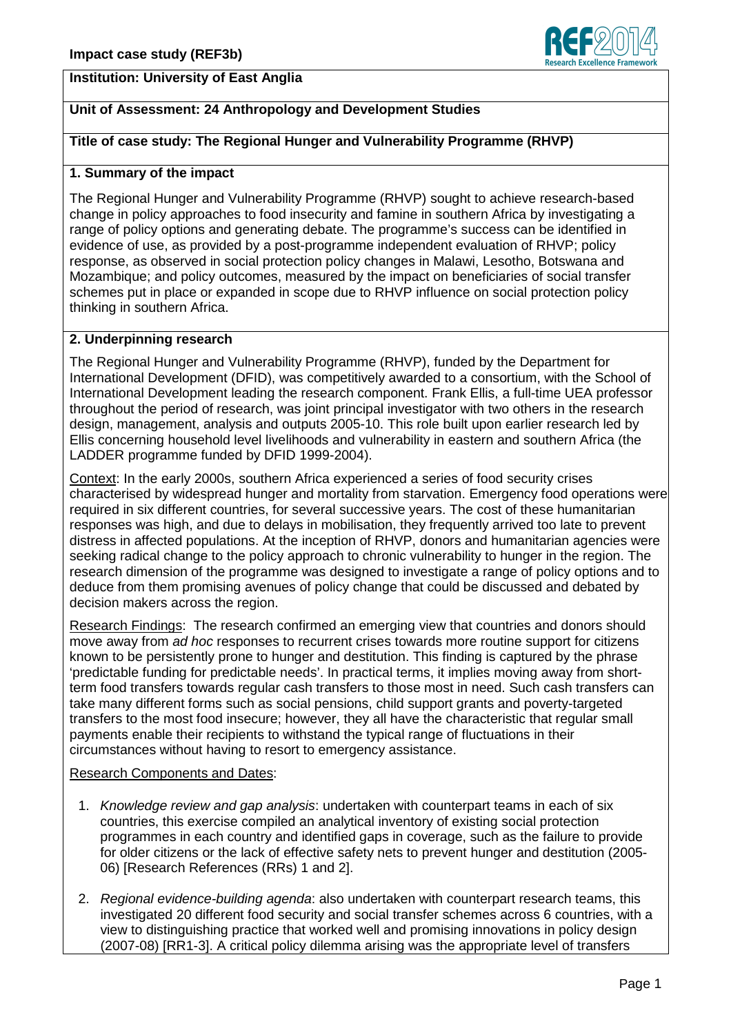## **Institution: University of East Anglia**



# **Unit of Assessment: 24 Anthropology and Development Studies**

## **Title of case study: The Regional Hunger and Vulnerability Programme (RHVP)**

#### **1. Summary of the impact**

The Regional Hunger and Vulnerability Programme (RHVP) sought to achieve research-based change in policy approaches to food insecurity and famine in southern Africa by investigating a range of policy options and generating debate. The programme's success can be identified in evidence of use, as provided by a post-programme independent evaluation of RHVP; policy response, as observed in social protection policy changes in Malawi, Lesotho, Botswana and Mozambique; and policy outcomes, measured by the impact on beneficiaries of social transfer schemes put in place or expanded in scope due to RHVP influence on social protection policy thinking in southern Africa.

#### **2. Underpinning research**

The Regional Hunger and Vulnerability Programme (RHVP), funded by the Department for International Development (DFID), was competitively awarded to a consortium, with the School of International Development leading the research component. Frank Ellis, a full-time UEA professor throughout the period of research, was joint principal investigator with two others in the research design, management, analysis and outputs 2005-10. This role built upon earlier research led by Ellis concerning household level livelihoods and vulnerability in eastern and southern Africa (the LADDER programme funded by DFID 1999-2004).

Context: In the early 2000s, southern Africa experienced a series of food security crises characterised by widespread hunger and mortality from starvation. Emergency food operations were required in six different countries, for several successive years. The cost of these humanitarian responses was high, and due to delays in mobilisation, they frequently arrived too late to prevent distress in affected populations. At the inception of RHVP, donors and humanitarian agencies were seeking radical change to the policy approach to chronic vulnerability to hunger in the region. The research dimension of the programme was designed to investigate a range of policy options and to deduce from them promising avenues of policy change that could be discussed and debated by decision makers across the region.

Research Findings: The research confirmed an emerging view that countries and donors should move away from ad hoc responses to recurrent crises towards more routine support for citizens known to be persistently prone to hunger and destitution. This finding is captured by the phrase 'predictable funding for predictable needs'. In practical terms, it implies moving away from shortterm food transfers towards regular cash transfers to those most in need. Such cash transfers can take many different forms such as social pensions, child support grants and poverty-targeted transfers to the most food insecure; however, they all have the characteristic that regular small payments enable their recipients to withstand the typical range of fluctuations in their circumstances without having to resort to emergency assistance.

#### Research Components and Dates:

- 1. Knowledge review and gap analysis: undertaken with counterpart teams in each of six countries, this exercise compiled an analytical inventory of existing social protection programmes in each country and identified gaps in coverage, such as the failure to provide for older citizens or the lack of effective safety nets to prevent hunger and destitution (2005- 06) [Research References (RRs) 1 and 2].
- 2. Regional evidence-building agenda: also undertaken with counterpart research teams, this investigated 20 different food security and social transfer schemes across 6 countries, with a view to distinguishing practice that worked well and promising innovations in policy design (2007-08) [RR1-3]. A critical policy dilemma arising was the appropriate level of transfers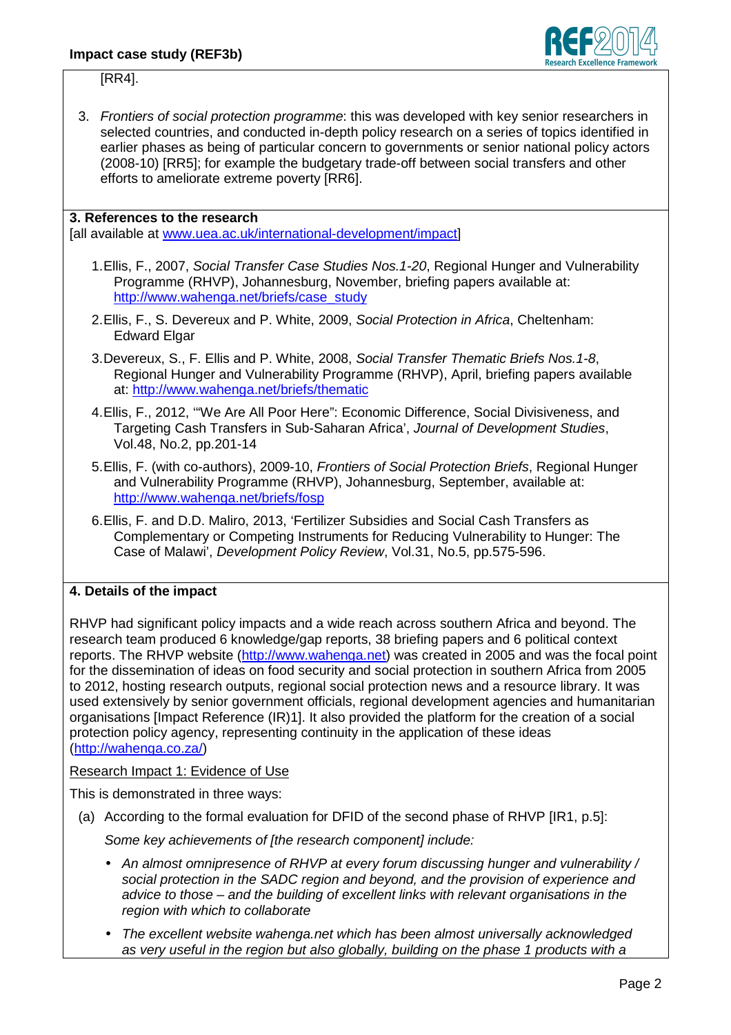

[RR4].

3. Frontiers of social protection programme: this was developed with key senior researchers in selected countries, and conducted in-depth policy research on a series of topics identified in earlier phases as being of particular concern to governments or senior national policy actors (2008-10) [RR5]; for example the budgetary trade-off between social transfers and other efforts to ameliorate extreme poverty [RR6].

## **3. References to the research**

[all available at www.uea.ac.uk/international-development/impact]

- 1. Ellis, F., 2007, Social Transfer Case Studies Nos.1-20, Regional Hunger and Vulnerability Programme (RHVP), Johannesburg, November, briefing papers available at: http://www.wahenga.net/briefs/case\_study
- 2. Ellis, F., S. Devereux and P. White, 2009, Social Protection in Africa, Cheltenham: Edward Elgar
- 3. Devereux, S., F. Ellis and P. White, 2008, Social Transfer Thematic Briefs Nos.1-8, Regional Hunger and Vulnerability Programme (RHVP), April, briefing papers available at: http://www.wahenga.net/briefs/thematic
- 4. Ellis, F., 2012, '"We Are All Poor Here": Economic Difference, Social Divisiveness, and Targeting Cash Transfers in Sub-Saharan Africa', Journal of Development Studies, Vol.48, No.2, pp.201-14
- 5. Ellis, F. (with co-authors), 2009-10, Frontiers of Social Protection Briefs, Regional Hunger and Vulnerability Programme (RHVP), Johannesburg, September, available at: http://www.wahenga.net/briefs/fosp
- 6. Ellis, F. and D.D. Maliro, 2013, 'Fertilizer Subsidies and Social Cash Transfers as Complementary or Competing Instruments for Reducing Vulnerability to Hunger: The Case of Malawi', Development Policy Review, Vol.31, No.5, pp.575-596.

# **4. Details of the impact**

RHVP had significant policy impacts and a wide reach across southern Africa and beyond. The research team produced 6 knowledge/gap reports, 38 briefing papers and 6 political context reports. The RHVP website (http://www.wahenga.net) was created in 2005 and was the focal point for the dissemination of ideas on food security and social protection in southern Africa from 2005 to 2012, hosting research outputs, regional social protection news and a resource library. It was used extensively by senior government officials, regional development agencies and humanitarian organisations [Impact Reference (IR)1]. It also provided the platform for the creation of a social protection policy agency, representing continuity in the application of these ideas (http://wahenga.co.za/)

Research Impact 1: Evidence of Use

This is demonstrated in three ways:

(a) According to the formal evaluation for DFID of the second phase of RHVP [IR1, p.5]:

Some key achievements of [the research component] include:

- An almost omnipresence of RHVP at every forum discussing hunger and vulnerability / social protection in the SADC region and beyond, and the provision of experience and advice to those – and the building of excellent links with relevant organisations in the region with which to collaborate
- The excellent website wahenga.net which has been almost universally acknowledged as very useful in the region but also globally, building on the phase 1 products with a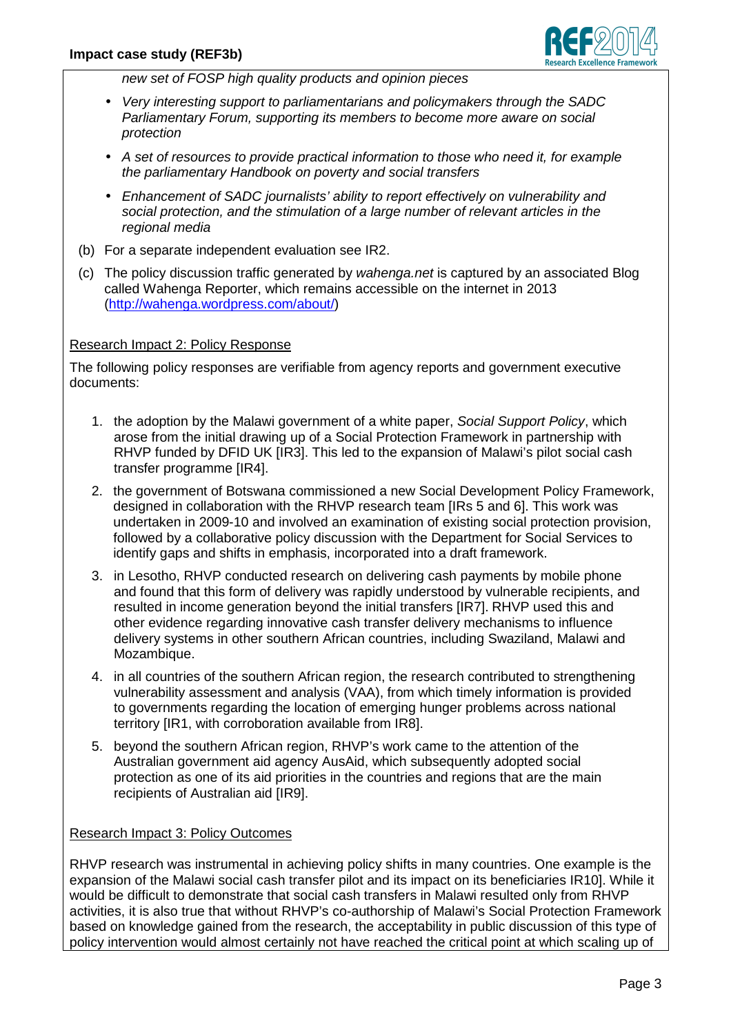

new set of FOSP high quality products and opinion pieces

- Very interesting support to parliamentarians and policymakers through the SADC Parliamentary Forum, supporting its members to become more aware on social protection
- A set of resources to provide practical information to those who need it, for example the parliamentary Handbook on poverty and social transfers
- Enhancement of SADC journalists' ability to report effectively on vulnerability and social protection, and the stimulation of a large number of relevant articles in the regional media
- (b) For a separate independent evaluation see IR2.
- (c) The policy discussion traffic generated by wahenga.net is captured by an associated Blog called Wahenga Reporter, which remains accessible on the internet in 2013 (http://wahenga.wordpress.com/about/)

## Research Impact 2: Policy Response

The following policy responses are verifiable from agency reports and government executive documents:

- 1. the adoption by the Malawi government of a white paper, Social Support Policy, which arose from the initial drawing up of a Social Protection Framework in partnership with RHVP funded by DFID UK [IR3]. This led to the expansion of Malawi's pilot social cash transfer programme [IR4].
- 2. the government of Botswana commissioned a new Social Development Policy Framework, designed in collaboration with the RHVP research team [IRs 5 and 6]. This work was undertaken in 2009-10 and involved an examination of existing social protection provision, followed by a collaborative policy discussion with the Department for Social Services to identify gaps and shifts in emphasis, incorporated into a draft framework.
- 3. in Lesotho, RHVP conducted research on delivering cash payments by mobile phone and found that this form of delivery was rapidly understood by vulnerable recipients, and resulted in income generation beyond the initial transfers [IR7]. RHVP used this and other evidence regarding innovative cash transfer delivery mechanisms to influence delivery systems in other southern African countries, including Swaziland, Malawi and Mozambique.
- 4. in all countries of the southern African region, the research contributed to strengthening vulnerability assessment and analysis (VAA), from which timely information is provided to governments regarding the location of emerging hunger problems across national territory [IR1, with corroboration available from IR8].
- 5. beyond the southern African region, RHVP's work came to the attention of the Australian government aid agency AusAid, which subsequently adopted social protection as one of its aid priorities in the countries and regions that are the main recipients of Australian aid [IR9].

#### Research Impact 3: Policy Outcomes

RHVP research was instrumental in achieving policy shifts in many countries. One example is the expansion of the Malawi social cash transfer pilot and its impact on its beneficiaries IR10]. While it would be difficult to demonstrate that social cash transfers in Malawi resulted only from RHVP activities, it is also true that without RHVP's co-authorship of Malawi's Social Protection Framework based on knowledge gained from the research, the acceptability in public discussion of this type of policy intervention would almost certainly not have reached the critical point at which scaling up of